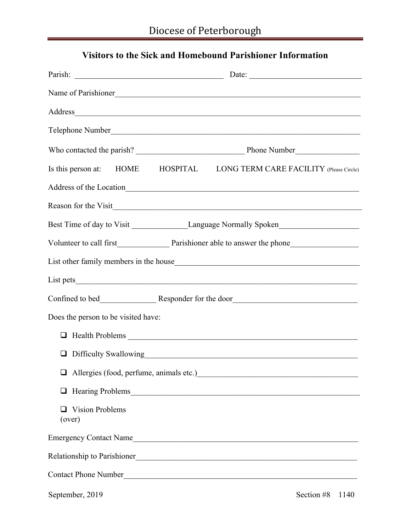## **Visitors to the Sick and Homebound Parishioner Information**

|                                     | Parish: Date: Date: Date:                                                                                                                                                                                                              |                    |
|-------------------------------------|----------------------------------------------------------------------------------------------------------------------------------------------------------------------------------------------------------------------------------------|--------------------|
|                                     | Name of Parishioner                                                                                                                                                                                                                    |                    |
|                                     | Address and the contract of the contract of the contract of the contract of the contract of the contract of the contract of the contract of the contract of the contract of the contract of the contract of the contract of th         |                    |
|                                     | Telephone Number                                                                                                                                                                                                                       |                    |
|                                     |                                                                                                                                                                                                                                        |                    |
|                                     | Is this person at: HOME HOSPITAL LONG TERM CARE FACILITY (Please Circle)                                                                                                                                                               |                    |
|                                     | Address of the Location here are the contract of the Location                                                                                                                                                                          |                    |
|                                     |                                                                                                                                                                                                                                        |                    |
|                                     | Best Time of day to Visit Language Normally Spoken                                                                                                                                                                                     |                    |
|                                     |                                                                                                                                                                                                                                        |                    |
|                                     |                                                                                                                                                                                                                                        |                    |
|                                     | List pets                                                                                                                                                                                                                              |                    |
|                                     |                                                                                                                                                                                                                                        |                    |
| Does the person to be visited have: |                                                                                                                                                                                                                                        |                    |
|                                     |                                                                                                                                                                                                                                        |                    |
|                                     | Difficulty Swallowing Manual State of Difficulty Swallowing                                                                                                                                                                            |                    |
|                                     | Allergies (food, perfume, animals etc.)<br><u>Letter and the contract of the set of the set of the set of the set of the set of the set of the set of the set of the set of the set of the set of the set of the set of the set of</u> |                    |
| u                                   |                                                                                                                                                                                                                                        |                    |
| <b>Vision Problems</b><br>(over)    |                                                                                                                                                                                                                                        |                    |
| <b>Emergency Contact Name</b>       | <u> 1989 - Johann John Stein, mars an deus Amerikaansk kommunister (</u>                                                                                                                                                               |                    |
|                                     | Relationship to Parishioner                                                                                                                                                                                                            |                    |
|                                     | Contact Phone Number                                                                                                                                                                                                                   |                    |
| September, 2019                     |                                                                                                                                                                                                                                        | Section #8<br>1140 |